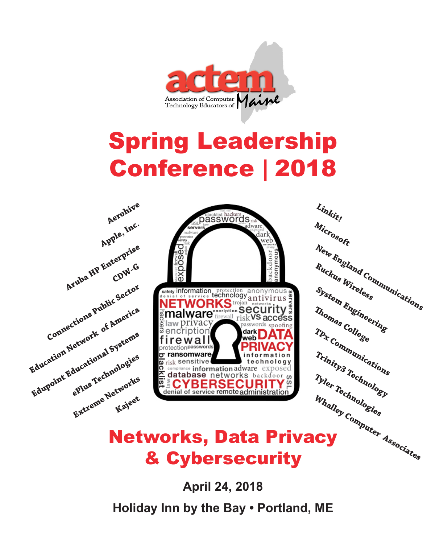

# Spring Leadership Conference **|** 2018



& Cybersecurity

**April 24, 2018 Holiday Inn by the Bay • Portland, ME**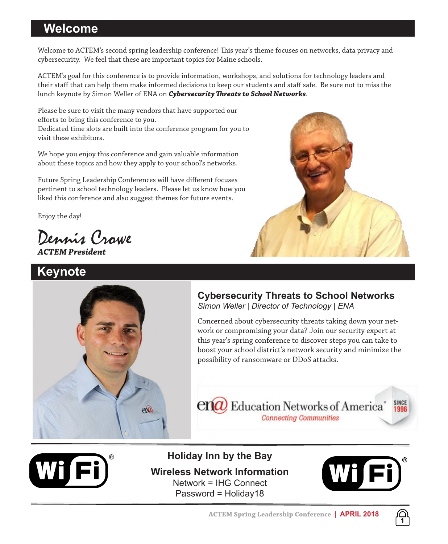# **Welcome**

Welcome to ACTEM's second spring leadership conference! This year's theme focuses on networks, data privacy and cybersecurity. We feel that these are important topics for Maine schools.

ACTEM's goal for this conference is to provide information, workshops, and solutions for technology leaders and their staff that can help them make informed decisions to keep our students and staff safe. Be sure not to miss the lunch keynote by Simon Weller of ENA on *Cybersecurity Threats to School Networks*.

Please be sure to visit the many vendors that have supported our efforts to bring this conference to you. Dedicated time slots are built into the conference program for you to visit these exhibitors.

We hope you enjoy this conference and gain valuable information about these topics and how they apply to your school's networks.

Future Spring Leadership Conferences will have different focuses pertinent to school technology leaders. Please let us know how you liked this conference and also suggest themes for future events.

Enjoy the day!

Dennis Crowe *ACTEM President*

# **Keynote**





# **Cybersecurity Threats to School Networks** *Simon Weller | Director of Technology | ENA*

Concerned about cybersecurity threats taking down your network or compromising your data? Join our security expert at this year's spring conference to discover steps you can take to boost your school district's network security and minimize the possibility of ransomware or DDoS attacks.





**Holiday Inn by the Bay Wireless Network Information** Network = IHG Connect Password = Holiday18



**1**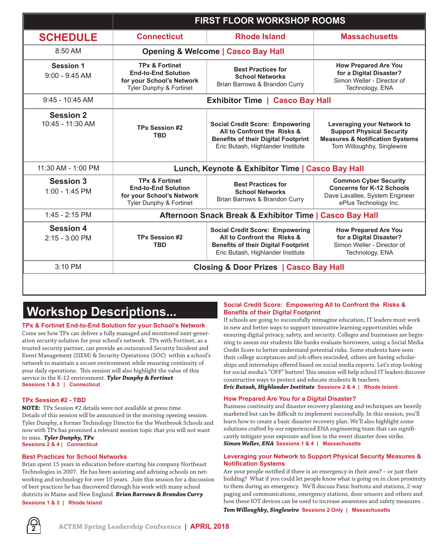|                                      | <b>FIRST FLOOR WORKSHOP ROOMS</b>                                                                                          |                                                                                                                                                          |                                                                                                                                            |
|--------------------------------------|----------------------------------------------------------------------------------------------------------------------------|----------------------------------------------------------------------------------------------------------------------------------------------------------|--------------------------------------------------------------------------------------------------------------------------------------------|
| <b>SCHEDULE</b>                      | <b>Connecticut</b>                                                                                                         | <b>Rhode Island</b>                                                                                                                                      | <b>Massachusetts</b>                                                                                                                       |
| 8:50 AM                              | <b>Opening &amp; Welcome   Casco Bay Hall</b>                                                                              |                                                                                                                                                          |                                                                                                                                            |
| Session 1<br>$9:00 - 9:45$ AM        | <b>TPx &amp; Fortinet</b><br><b>End-to-End Solution</b><br>for your School's Network<br><b>Tyler Dunphy &amp; Fortinet</b> | <b>Best Practices for</b><br><b>School Networks</b><br>Brian Barrows & Brandon Curry                                                                     | <b>How Prepared Are You</b><br>for a Digital Disaster?<br>Simon Weller - Director of<br>Technology, ENA                                    |
| $9.45 - 10.45$ AM                    | <b>Exhibitor Time   Casco Bay Hall</b>                                                                                     |                                                                                                                                                          |                                                                                                                                            |
| <b>Session 2</b><br>10:45 - 11:30 AM | TPx Session #2<br><b>TBD</b>                                                                                               | <b>Social Credit Score: Empowering</b><br>All to Confront the Risks &<br><b>Benefits of their Digital Footprint</b><br>Eric Butash, Highlander Institute | Leveraging your Network to<br><b>Support Physical Security</b><br><b>Measures &amp; Notification Systems</b><br>Tom Willoughby, Singlewire |
| $11:30$ AM - $1:00$ PM               | Lunch, Keynote & Exhibitor Time   Casco Bay Hall                                                                           |                                                                                                                                                          |                                                                                                                                            |
| Session 3<br>$1:00 - 1:45$ PM        | <b>TPx &amp; Fortinet</b><br><b>End-to-End Solution</b><br>for your School's Network<br><b>Tyler Dunphy &amp; Fortinet</b> | <b>Best Practices for</b><br><b>School Networks</b><br>Brian Barrows & Brandon Curry                                                                     | <b>Common Cyber Security</b><br><b>Concerns for K-12 Schools</b><br>Dave Lavallee, System Engineer<br>ePlus Technology Inc.                |
| $1:45 - 2:15$ PM                     | Afternoon Snack Break & Exhibitor Time   Casco Bay Hall                                                                    |                                                                                                                                                          |                                                                                                                                            |
| <b>Session 4</b><br>$2:15 - 3:00$ PM | TPx Session #2<br><b>TBD</b>                                                                                               | <b>Social Credit Score: Empowering</b><br>All to Confront the Risks &<br><b>Benefits of their Digital Footprint</b><br>Eric Butash, Highlander Institute | <b>How Prepared Are You</b><br>for a Digital Disaster?<br>Simon Weller - Director of<br>Technology, ENA                                    |
| $3:10$ PM                            | <b>Closing &amp; Door Prizes   Casco Bay Hall</b>                                                                          |                                                                                                                                                          |                                                                                                                                            |
|                                      |                                                                                                                            |                                                                                                                                                          |                                                                                                                                            |

# **Workshop Descriptions...**

#### **TPx & Fortinet End-to-End Solution for your School's Network**

Come see how TPx can deliver a fully managed and monitored next-generation security solution for your school's network. TPx with Fortinet, as a trusted security partner, can provide an outsourced Security Incident and Event Management (SIEM) & Security Operations (SOC) within a school's network to maintain a secure environment while ensuring continuity of your daily operations. This session will also highlight the value of this service in the K-12 environment. *Tyler Dunphy & Fortinet*  **Sessions 1 & 3 | Connecticut**

#### **TPx Session #2 - TBD**

**NOTE:** TPx Session #2 details were not available at press time. Details of this session will be announced in the morning opening session. Tyler Dunphy, a former Technology Director for the Westbrook Schools and now with TPx has promised a relevant session topic that you will not want to miss. *Tyler Dunphy, TPx*

**Sessions 2 & 4 | Connecticut**

#### **Best Practices for School Networks**

Brian spent 15 years in education before starting his company Northeast Technologies in 2007. He has been assisting and advising schools on networking and technology for over 10 years. Join this session for a discussion of best practices he has discovered through his work with many school districts in Maine and New England. *Brian Barrows & Brandon Curry*

**Sessions 1 & 3 | Rhode Island**

### **Social Credit Score: Empowering All to Confront the Risks & Benefits of their Digital Footprint**

If schools are going to successfully reimagine education, IT leaders must work in new and better ways to support innovative learning opportunities while ensuring digital privacy, safety, and security. Colleges and businesses are beginning to assess our students like banks evaluate borrowers, using a Social Media Credit Score to better understand potential risks. Some students have seen their college acceptances and job offers rescinded, others are having scholarships and internships offered based on social media reports. Let's stop looking for social media's "OFF" button! This session will help school IT leaders discover constructive ways to protect and educate students & teachers.

### *Eric Butash, Highlander Institute* **Sessions 2 & 4 | Rhode Island**

#### **How Prepared Are You for a Digital Disaster?**

Business continuity and disaster recovery planning and techniques are heavily marketed but can be difficult to implement successfully. In this session, you'll learn how to create a basic disaster recovery plan. We'll also highlight some solutions crafted by our experienced ENA engineering team that can significantly mitigate your exposure and loss in the event disaster does strike. *Simon Weller, ENA* **Sessions 1 & 4 | Massachusetts**

#### **Leveraging your Network to Support Physical Security Measures & Notification Systems**

Are your people notified if there is an emergency in their area? – or just their building? What if you could let people know what is going on in close proximity to them during an emergency. We'll discuss Panic buttons and stations, 2-way paging and communications, emergency stations, door sensors and others and how these IOT devices can be used to increase awareness and safety measures. .

*Tom Willoughby, Singlewire* **Sessions 2 Only | Massachusetts**

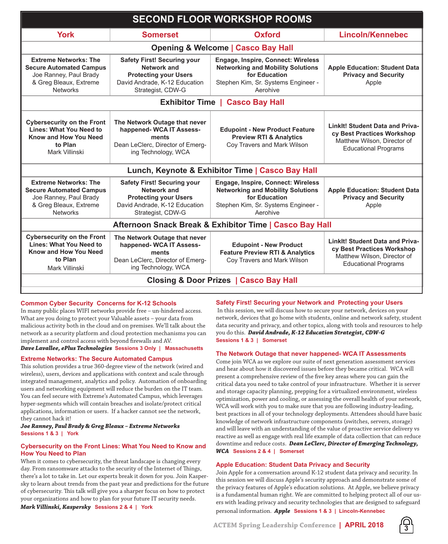| <b>SECOND FLOOR WORKSHOP ROOMS</b>                                                                                                    |                                                                                                                                         |                                                                                                                                                    |                                                                                                                             |  |  |
|---------------------------------------------------------------------------------------------------------------------------------------|-----------------------------------------------------------------------------------------------------------------------------------------|----------------------------------------------------------------------------------------------------------------------------------------------------|-----------------------------------------------------------------------------------------------------------------------------|--|--|
| <b>York</b>                                                                                                                           | <b>Somerset</b>                                                                                                                         | <b>Oxford</b>                                                                                                                                      | <b>Lincoln/Kennebec</b>                                                                                                     |  |  |
| <b>Opening &amp; Welcome   Casco Bay Hall</b>                                                                                         |                                                                                                                                         |                                                                                                                                                    |                                                                                                                             |  |  |
| <b>Extreme Networks: The</b><br><b>Secure Automated Campus</b><br>Joe Ranney, Paul Brady<br>& Greg Bleaux, Extreme<br><b>Networks</b> | <b>Safety First! Securing your</b><br>Network and<br><b>Protecting your Users</b><br>David Andrade, K-12 Education<br>Strategist, CDW-G | Engage, Inspire, Connect: Wireless<br><b>Networking and Mobility Solutions</b><br>for Education<br>Stephen Kim, Sr. Systems Engineer -<br>Aerohive | Apple Education: Student Data<br><b>Privacy and Security</b><br>Apple                                                       |  |  |
| <b>Exhibitor Time</b><br><b>Casco Bay Hall</b>                                                                                        |                                                                                                                                         |                                                                                                                                                    |                                                                                                                             |  |  |
| <b>Cybersecurity on the Front</b><br>Lines: What You Need to<br>Know and How You Need<br>to Plan<br>Mark Villinski                    | The Network Outage that never<br>happened- WCA IT Assess-<br>ments<br>Dean LeClerc, Director of Emerg-<br>ing Technology, WCA           | <b>Edupoint - New Product Feature</b><br><b>Preview RTI &amp; Analytics</b><br>Coy Travers and Mark Wilson                                         | Linklt! Student Data and Priva-<br>cy Best Practices Workshop<br>Matthew Wilson, Director of<br><b>Educational Programs</b> |  |  |
| Lunch, Keynote & Exhibitor Time   Casco Bay Hall                                                                                      |                                                                                                                                         |                                                                                                                                                    |                                                                                                                             |  |  |
| <b>Extreme Networks: The</b><br><b>Secure Automated Campus</b><br>Joe Ranney, Paul Brady<br>& Greg Bleaux, Extreme<br><b>Networks</b> | <b>Safety First! Securing your</b><br>Network and<br><b>Protecting your Users</b><br>David Andrade, K-12 Education<br>Strategist, CDW-G | Engage, Inspire, Connect: Wireless<br><b>Networking and Mobility Solutions</b><br>for Education<br>Stephen Kim, Sr. Systems Engineer -<br>Aerohive | <b>Apple Education: Student Data</b><br><b>Privacy and Security</b><br>Apple                                                |  |  |
| Afternoon Snack Break & Exhibitor Time   Casco Bay Hall                                                                               |                                                                                                                                         |                                                                                                                                                    |                                                                                                                             |  |  |
| <b>Cybersecurity on the Front</b><br>Lines: What You Need to<br>Know and How You Need<br>to Plan<br>Mark Villinski                    | The Network Outage that never<br>happened- WCA IT Assess-<br>ments<br>Dean LeClerc, Director of Emerg-<br>ing Technology, WCA           | <b>Edupoint - New Product</b><br><b>Feature Preview RTI &amp; Analytics</b><br>Coy Travers and Mark Wilson                                         | Linklt! Student Data and Priva-<br>cy Best Practices Workshop<br>Matthew Wilson, Director of<br><b>Educational Programs</b> |  |  |
| <b>Closing &amp; Door Prizes   Casco Bay Hall</b>                                                                                     |                                                                                                                                         |                                                                                                                                                    |                                                                                                                             |  |  |

#### **Common Cyber Security Concerns for K-12 Schools**

In many public places WIFI networks provide free – un-hindered access. What are you doing to protect your Valuable assets – your data from malicious activity both in the cloud and on premises. We'll talk about the network as a security platform and cloud protection mechanisms you can implement and control access with beyond firewalls and AV.

#### *Dave Lavallee, ePlus Technologies* **Sessions 3 Only | Massachusetts**

#### **Extreme Networks: The Secure Automated Campus**

This solution provides a true 360-degree view of the network (wired and wireless), users, devices and applications with context and scale through integrated management, analytics and policy. Automation of onboarding users and networking equipment will reduce the burden on the IT team. You can feel secure with Extreme's Automated Campus, which leverages hyper-segments which will contain breaches and isolate/protect critical applications, information or users. If a hacker cannot see the network, they cannot hack it!

*Joe Ranney, Paul Brady & Greg Bleaux – Extreme Networks* **Sessions 1 & 3 | York**

### **Cybersecurity on the Front Lines: What You Need to Know and How You Need to Plan**

When it comes to cybersecurity, the threat landscape is changing every day. From ransomware attacks to the security of the Internet of Things, there's a lot to take in. Let our experts break it down for you. Join Kaspersky to learn about trends from the past year and predictions for the future of cybersecurity. This talk will give you a sharper focus on how to protect your organizations and how to plan for your future IT security needs.

# *Mark Villinski, Kaspersky* **Sessions 2 & 4 | York**

### **Safety First! Securing your Network and Protecting your Users**

 In this session, we will discuss how to secure your network, devices on your network, devices that go home with students, online and network safety, student data security and privacy, and other topics, along with tools and resources to help you do this. *David Andrade, K-12 Education Strategist, CDW-G* **Sessions 1 & 3 | Somerset**

#### **The Network Outage that never happened- WCA IT Assessments**

Come join WCA as we explore our suite of next generation assessment services and hear about how it discovered issues before they became critical. WCA will present a comprehensive review of the five key areas where you can gain the critical data you need to take control of your infrastructure. Whether it is server and storage capacity planning, prepping for a virtualized environment, wireless optimization, power and cooling, or assessing the overall health of your network, WCA will work with you to make sure that you are following industry-leading, best practices in all of your technology deployments. Attendees should have basic knowledge of network infrastructure components (switches, servers, storage) and will leave with an understanding of the value of proactive service delivery vs reactive as well as engage with real life example of data collection that can reduce downtime and reduce costs. *Dean LeClerc, Director of Emerging Technology, WCA* **Sessions 2 & 4 | Somerset**

# **Apple Education: Student Data Privacy and Security**

Join Apple for a conversation around K-12 student data privacy and security. In this session we will discuss Apple's security approach and demonstrate some of the privacy features of Apple's education solutions. At Apple, we believe privacy is a fundamental human right. We are committed to helping protect all of our users with leading privacy and security technologies that are designed to safeguard

personal information. *Apple* **Sessions 1 & 3 | Lincoln-Kennebec**

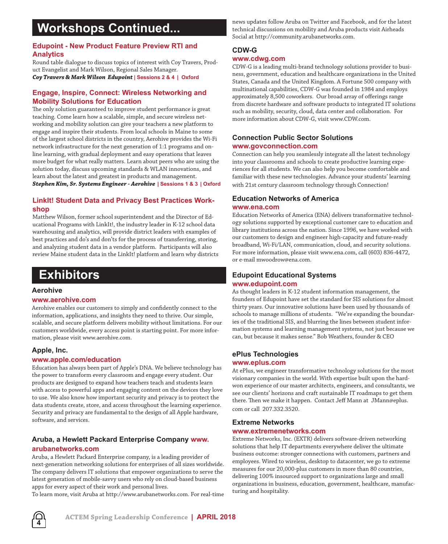# **Workshops Continued...**

# **Edupoint - New Product Feature Preview RTI and Analytics**

Round table dialogue to discuss topics of interest with Coy Travers, Product Evangelist and Mark Wilson, Regional Sales Manager. *Coy Travers & Mark Wilson Edupoint* **| Sessions 2 & 4 | Oxford**

# **Engage, Inspire, Connect: Wireless Networking and Mobility Solutions for Education**

The only solution guaranteed to improve student performance is great teaching. Come learn how a scalable, simple, and secure wireless networking and mobility solution can give your teachers a new platform to engage and inspire their students. From local schools in Maine to some of the largest school districts in the country, Aerohive provides the Wi-Fi network infrastructure for the next generation of 1:1 programs and online learning, with gradual deployment and easy operations that leaves more budget for what really matters. Learn about peers who are using the solution today, discuss upcoming standards & WLAN innovations, and learn about the latest and greatest in products and management. *Stephen Kim, Sr. Systems Engineer - Aerohive* **| Sessions 1 & 3 | Oxford**

# **LinkIt! Student Data and Privacy Best Practices Workshop**

Matthew Wilson, former school superintendent and the Director of Educational Programs with LinkIt!, the industry leader in K-12 school data warehousing and analytics, will provide district leaders with examples of best practices and do's and don'ts for the process of transferring, storing, and analyzing student data in a vendor platform. Participants will also review Maine student data in the LinkIt! platform and learn why districts

# **Exhibitors**

### **Aerohive**

### **www.aerohive.com**

Aerohive enables our customers to simply and confidently connect to the information, applications, and insights they need to thrive. Our simple, scalable, and secure platform delivers mobility without limitations. For our customers worldwide, every access point is starting point. For more information, please visit www.aerohive.com.

# **Apple, Inc.**

# **www.apple.com/education**

Education has always been part of Apple's DNA. We believe technology has the power to transform every classroom and engage every student. Our products are designed to expand how teachers teach and students learn with access to powerful apps and engaging content on the devices they love to use. We also know how important security and privacy is to protect the data students create, store, and access throughout the learning experience. Security and privacy are fundamental to the design of all Apple hardware, software, and services.

# **Aruba, a Hewlett Packard Enterprise Company www. arubanetworks.com**

Aruba, a Hewlett Packard Enterprise company, is a leading provider of next-generation networking solutions for enterprises of all sizes worldwide. The company delivers IT solutions that empower organizations to serve the latest generation of mobile-savvy users who rely on cloud-based business apps for every aspect of their work and personal lives.

To learn more, visit Aruba at http://www.arubanetworks.com. For real-time

news updates follow Aruba on Twitter and Facebook, and for the latest technical discussions on mobility and Aruba products visit Airheads Social at http://community.arubanetworks.com.

# **CDW-G**

# **www.cdwg.com**

CDW-G is a leading multi-brand technology solutions provider to business, government, education and healthcare organizations in the United States, Canada and the United Kingdom. A Fortune 500 company with multinational capabilities, CDW-G was founded in 1984 and employs approximately 8,500 coworkers. Our broad array of offerings range from discrete hardware and software products to integrated IT solutions such as mobility, security, cloud, data center and collaboration. For more information about CDW-G, visit www.CDW.com.

# **Connection Public Sector Solutions www.govconnection.com**

Connection can help you seamlessly integrate all the latest technology into your classrooms and schools to create productive learning experiences for all students. We can also help you become comfortable and familiar with these new technologies. Advance your students' learning with 21st century classroom technology through Connection!

# **Education Networks of America www.ena.com**

Education Networks of America (ENA) delivers transformative technology solutions supported by exceptional customer care to education and library institutions across the nation. Since 1996, we have worked with our customers to design and engineer high-capacity and future-ready broadband, Wi-Fi/LAN, communication, cloud, and security solutions. For more information, please visit www.ena.com, call (603) 836-4472, or e-mail mwoodrow@ena.com.

# **Edupoint Educational Systems www.edupoint.com**

As thought leaders in K-12 student information management, the founders of Edupoint have set the standard for SIS solutions for almost thirty years. Our innovative solutions have been used by thousands of schools to manage millions of students. "We're expanding the boundaries of the traditional SIS, and blurring the lines between student information systems and learning management systems, not just because we can, but because it makes sense." Bob Weathers, founder & CEO

# **ePlus Technologies**

### **www.eplus.com**

At ePlus, we engineer transformative technology solutions for the most visionary companies in the world. With expertise built upon the hardwon experience of our master architects, engineers, and consultants, we see our clients' horizons and craft sustainable IT roadmaps to get them there. Then we make it happen. Contact Jeff Mann at JMann@eplus. com or call 207.332.3520.

# **Extreme Networks**

# **www.extremenetworks.com**

Extreme Networks, Inc. (EXTR) delivers software-driven networking solutions that help IT departments everywhere deliver the ultimate business outcome: stronger connections with customers, partners and employees. Wired to wireless, desktop to datacenter, we go to extreme measures for our 20,000-plus customers in more than 80 countries, delivering 100% insourced support to organizations large and small organizations in business, education, government, healthcare, manufacturing and hospitality.

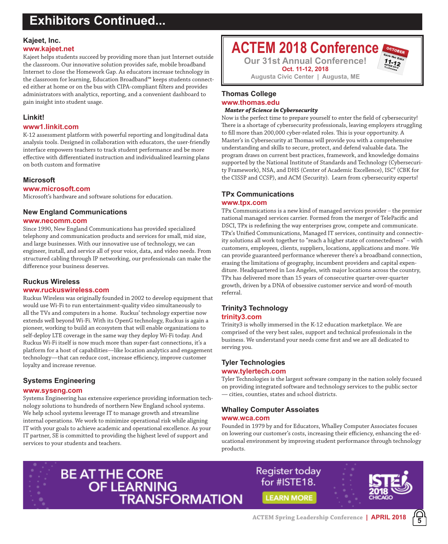# **Exhibitors Continued...**

# **Kajeet, Inc.**

#### **www.kajeet.net**

Kajeet helps students succeed by providing more than just Internet outside the classroom. Our innovative solution provides safe, mobile broadband Internet to close the Homework Gap. As educators increase technology in the classroom for learning, Education Broadband™ keeps students connected either at home or on the bus with CIPA-compliant filters and provides administrators with analytics, reporting, and a convenient dashboard to gain insight into student usage.

# **Linkit!**

# **www1.linkit.com**

K-12 assessment platform with powerful reporting and longitudinal data analysis tools. Designed in collaboration with educators, the user-friendly interface empowers teachers to track student performance and be more effective with differentiated instruction and individualized learning plans on both custom and formative

# **Microsoft**

# **www.microsoft.com**

Microsoft's hardware and software solutions for education.

# **New England Communications**

#### **www.necomm.com**

Since 1990, New England Communications has provided specialized telephony and communication products and services for small, mid size, and large businesses. With our innovative use of technology, we can engineer, install, and service all of your voice, data, and video needs. From structured cabling through IP networking, our professionals can make the difference your business deserves.

### **Ruckus Wireless**

### **www.ruckuswireless.com**

Ruckus Wireless was originally founded in 2002 to develop equipment that would use Wi-Fi to run entertainment-quality video simultaneously to all the TVs and computers in a home. Ruckus' technology expertise now extends well beyond Wi-Fi. With its OpenG technology, Ruckus is again a pioneer, working to build an ecosystem that will enable organizations to self-deploy LTE coverage in the same way they deploy Wi-Fi today. And Ruckus Wi-Fi itself is now much more than super-fast connections, it's a platform for a host of capabilities—like location analytics and engagement technology—that can reduce cost, increase efficiency, improve customer loyalty and increase revenue.

# **Systems Engineering**

### **www.syseng.com**

Systems Engineering has extensive experience providing information technology solutions to hundreds of northern New England school systems. We help school systems leverage IT to manage growth and streamline internal operations. We work to minimize operational risk while aligning IT with your goals to achieve academic and operational excellence. As your IT partner, SE is committed to providing the highest level of support and services to your students and teachers.

# **ACTEM 2018 Conference**

**Our 31st Annual Conference! Oct. 11-12, 2018**

**Augusta Civic Center | Augusta, ME**

# **Thomas College www.thomas.edu**

#### *Master of Science in Cybersecurity*

Now is the perfect time to prepare yourself to enter the field of cybersecurity! There is a shortage of cybersecurity professionals, leaving employers struggling to fill more than 200,000 cyber-related roles. This is your opportunity. A Master's in Cybersecurity at Thomas will provide you with a comprehensive understanding and skills to secure, protect, and defend valuable data. The program draws on current best practices, framework, and knowledge domains supported by the National Institute of Standards and Technology (Cybersecurity Framework), NSA, and DHS (Center of Academic Excellence), ISC² (CBK for the CISSP and CCSP), and ACM (Security). Learn from cybersecurity experts!

# **TPx Communications**

#### **www.tpx.com**

TPx Communications is a new kind of managed services provider – the premier national managed services carrier. Formed from the merger of TelePacific and DSCI, TPx is redefining the way enterprises grow, compete and communicate. TPx's Unified Communications, Managed IT services, continuity and connectivity solutions all work together to "reach a higher state of connectedness" – with customers, employees, clients, suppliers, locations, applications and more. We can provide guaranteed performance wherever there's a broadband connection, erasing the limitations of geography, incumbent providers and capital expenditure. Headquartered in Los Angeles, with major locations across the country, TPx has delivered more than 15 years of consecutive quarter-over-quarter growth, driven by a DNA of obsessive customer service and word-of-mouth referral.

# **Trinity3 Technology**

# **trinity3.com**

Trinity3 is wholly immersed in the K-12 education marketplace. We are comprised of the very best sales, support and technical professionals in the business. We understand your needs come first and we are all dedicated to serving you.

# **Tyler Technologies**

# **www.tylertech.com**

Tyler Technologies is the largest software company in the nation solely focused on providing integrated software and technology services to the public sector — cities, counties, states and school districts.

# **Whalley Computer Assoiates**

# **www.wca.com**

Founded in 1979 by and for Educators, Whalley Computer Associates focuses on lowering our customer's costs, increasing their efficiency, enhancing the educational environment by improving student performance through technology products.



Register today for #ISTE18. **LEARN MORE** 

**5**